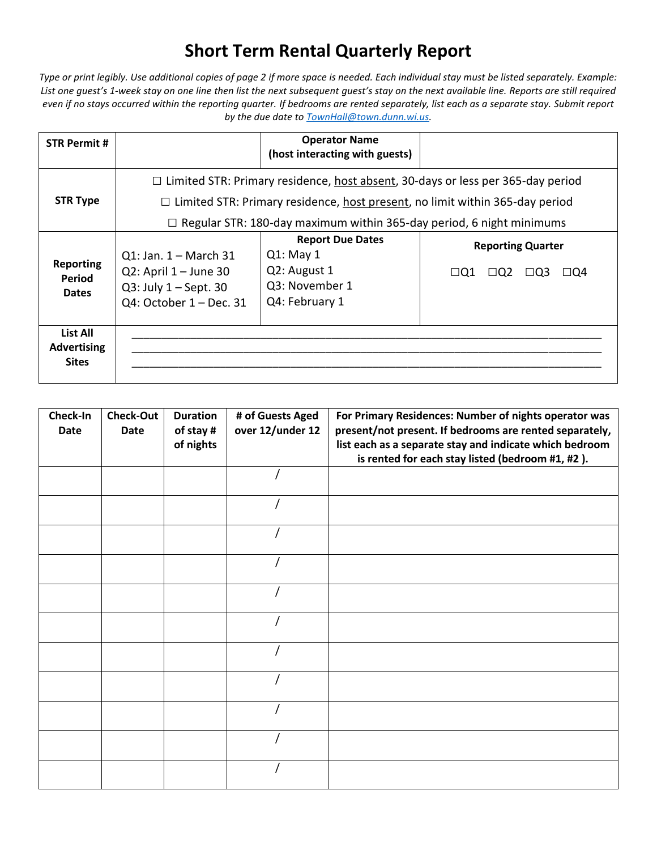## **Short Term Rental Quarterly Report**

*Type or print legibly. Use additional copies of page 2 if more space is needed. Each individual stay must be listed separately. Example: List one guest's 1-week stay on one line then list the next subsequent guest's stay on the next available line. Reports are still required even if no stays occurred within the reporting quarter. If bedrooms are rented separately, list each as a separate stay. Submit report by the due date t[o TownHall@town.dunn.wi.us.](mailto:TownHall@town.dunn.wi.us)*

| <b>STR Permit #</b>                            |                                                                                                                                                                                                                                                              | <b>Operator Name</b><br>(host interacting with guests)                                     |                                                                              |  |  |  |
|------------------------------------------------|--------------------------------------------------------------------------------------------------------------------------------------------------------------------------------------------------------------------------------------------------------------|--------------------------------------------------------------------------------------------|------------------------------------------------------------------------------|--|--|--|
| <b>STR Type</b>                                | $\Box$ Limited STR: Primary residence, host absent, 30-days or less per 365-day period<br>$\Box$ Limited STR: Primary residence, host present, no limit within 365-day period<br>$\Box$ Regular STR: 180-day maximum within 365-day period, 6 night minimums |                                                                                            |                                                                              |  |  |  |
| <b>Reporting</b><br>Period<br><b>Dates</b>     | $Q1:$ Jan. $1 -$ March 31<br>$Q2$ : April 1 – June 30<br>Q3: July $1 -$ Sept. 30<br>Q4: October 1 - Dec. 31                                                                                                                                                  | <b>Report Due Dates</b><br>$Q1:$ May 1<br>Q2: August 1<br>Q3: November 1<br>Q4: February 1 | <b>Reporting Quarter</b><br>$\Box$ Q1<br>$\Box$ Q2<br>$\Box$ Q3<br>$\Box$ Q4 |  |  |  |
| List All<br><b>Advertising</b><br><b>Sites</b> |                                                                                                                                                                                                                                                              |                                                                                            |                                                                              |  |  |  |

| Check-In<br><b>Date</b> | <b>Check-Out</b><br><b>Date</b> | <b>Duration</b><br>of stay #<br>of nights | # of Guests Aged<br>over 12/under 12 | For Primary Residences: Number of nights operator was<br>present/not present. If bedrooms are rented separately,<br>list each as a separate stay and indicate which bedroom<br>is rented for each stay listed (bedroom #1, #2). |
|-------------------------|---------------------------------|-------------------------------------------|--------------------------------------|---------------------------------------------------------------------------------------------------------------------------------------------------------------------------------------------------------------------------------|
|                         |                                 |                                           |                                      |                                                                                                                                                                                                                                 |
|                         |                                 |                                           |                                      |                                                                                                                                                                                                                                 |
|                         |                                 |                                           |                                      |                                                                                                                                                                                                                                 |
|                         |                                 |                                           |                                      |                                                                                                                                                                                                                                 |
|                         |                                 |                                           |                                      |                                                                                                                                                                                                                                 |
|                         |                                 |                                           |                                      |                                                                                                                                                                                                                                 |
|                         |                                 |                                           |                                      |                                                                                                                                                                                                                                 |
|                         |                                 |                                           |                                      |                                                                                                                                                                                                                                 |
|                         |                                 |                                           |                                      |                                                                                                                                                                                                                                 |
|                         |                                 |                                           |                                      |                                                                                                                                                                                                                                 |
|                         |                                 |                                           |                                      |                                                                                                                                                                                                                                 |